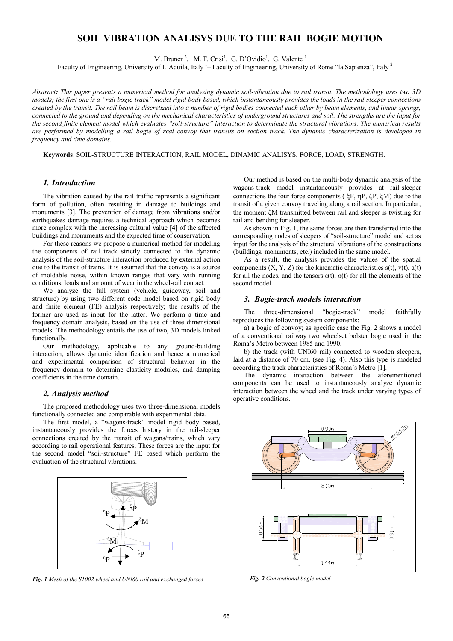# **SOIL VIBRATION ANALISYS DUE TO THE RAIL BOGIE MOTION**

M. Bruner<sup>2</sup>, M. F. Crisi<sup>1</sup>, G. D'Ovidio<sup>1</sup>, G. Valente<sup>1</sup>

Faculty of Engineering, University of L'Aquila, Italy <sup>1</sup> – Faculty of Engineering, University of Rome "la Sapienza", Italy <sup>2</sup>

*Abstract: This paper presents a numerical method for analyzing dynamic soil-vibration due to rail transit. The methodology uses two 3D models; the first one is a "rail bogie-track" model rigid body based, which instantaneously provides the loads in the rail-sleeper connections created by the transit. The rail beam is discretized into a number of rigid bodies connected each other by beam elements, and linear springs, connected to the ground and depending on the mechanical characteristics of underground structures and soil. The strengths are the input for the second finite element model which evaluates "soil-structure" interaction to determinate the structural vibrations. The numerical results are performed by modelling a rail bogie of real convoy that transits on section track. The dynamic characterization is developed in frequency and time domains.* 

**Keywords**: SOIL-STRUCTURE INTERACTION, RAIL MODEL, DINAMIC ANALISYS, FORCE, LOAD, STRENGTH.

### *1. Introduction*

The vibration caused by the rail traffic represents a significant form of pollution, often resulting in damage to buildings and monuments [3]. The prevention of damage from vibrations and/or earthquakes damage requires a technical approach which becomes more complex with the increasing cultural value [4] of the affected buildings and monuments and the expected time of conservation.

For these reasons we propose a numerical method for modeling the components of rail track strictly connected to the dynamic analysis of the soil-structure interaction produced by external action due to the transit of trains. It is assumed that the convoy is a source of moldable noise, within known ranges that vary with running conditions, loads and amount of wear in the wheel-rail contact.

We analyze the full system (vehicle, guideway, soil and structure) by using two different code model based on rigid body and finite element (FE) analysis respectively; the results of the former are used as input for the latter. We perform a time and frequency domain analysis, based on the use of three dimensional models. The methodology entails the use of two, 3D models linked functionally.

Our methodology, applicable to any ground-building interaction, allows dynamic identification and hence a numerical and experimental comparison of structural behavior in the frequency domain to determine elasticity modules, and damping coefficients in the time domain.

### *2. Analysis method*

The proposed methodology uses two three-dimensional models functionally connected and comparable with experimental data.

The first model, a "wagons-track" model rigid body based, instantaneously provides the forces history in the rail-sleeper connections created by the transit of wagons/trains, which vary according to rail operational features. These forces are the input for the second model "soil-structure" FE based which perform the evaluation of the structural vibrations.



*Fig. 1 Mesh of the S1002 wheel and UNI60 rail and exchanged forces* 

Our method is based on the multi-body dynamic analysis of the wagons-track model instantaneously provides at rail-sleeper connections the four force components ( $\,\xi P, \eta P, \zeta P, \xi M$ ) due to the transit of a given convoy traveling along a rail section. In particular, the moment EM transmitted between rail and sleeper is twisting for rail and bending for sleeper.

As shown in Fig. 1, the same forces are then transferred into the corresponding nodes of sleepers of "soil-structure" model and act as input for the analysis of the structural vibrations of the constructions (buildings, monuments, etc.) included in the same model.

As a result, the analysis provides the values of the spatial components  $(X, Y, Z)$  for the kinematic characteristics  $s(t)$ ,  $v(t)$ ,  $a(t)$ for all the nodes, and the tensors  $\varepsilon(t)$ ,  $\sigma(t)$  for all the elements of the second model.

### *3. Bogie-track models interaction*

The three-dimensional "bogie-track" model faithfully reproduces the following system components:

a) a bogie of convoy; as specific case the Fig. 2 shows a model of a conventional railway two wheelset bolster bogie used in the Roma's Metro between 1985 and 1990;

b) the track (with UNI60 rail) connected to wooden sleepers, laid at a distance of 70 cm, (see Fig. 4). Also this type is modeled according the track characteristics of Roma's Metro [1].

The dynamic interaction between the aforementioned components can be used to instantaneously analyze dynamic interaction between the wheel and the track under varying types of operative conditions.



*Fig. 2 Conventional bogie model.*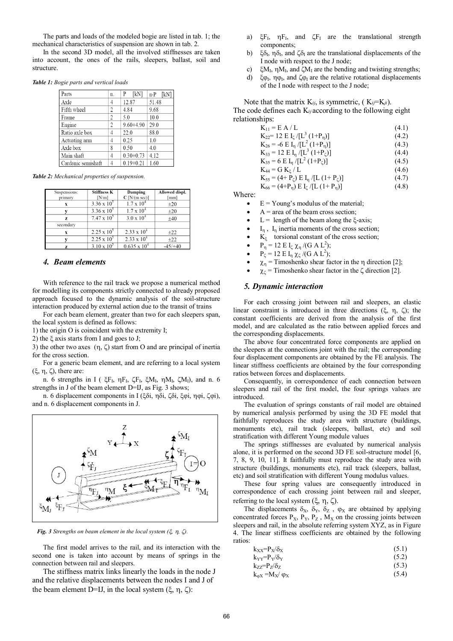The parts and loads of the modeled bogie are listed in tab. 1; the mechanical characteristics of suspension are shown in tab. 2.

In the second 3D model, all the involved stiffnesses are taken into account, the ones of the rails, sleepers, ballast, soil and structure.

*Table 1: Bogie parts and vertical loads*

| Parts              | n.             | [kN]<br>Ρ     | $n \cdot P$ [kN] |
|--------------------|----------------|---------------|------------------|
| Axle               | 4              | 12.87         | 51.48            |
| Fifth wheel        | 2              | 4.84          | 9.68             |
| Frame              | 2              | 5.0           | 10.0             |
| Engine             | $\overline{c}$ | $9.60 + 4.90$ | 29.0             |
| Ratio axle box     | 4              | 22.0          | 88.0             |
| Actuating arm      | 4              | 0.25          | 1.0              |
| Axle box           | 8              | 0.50          | 4.0              |
| Main shaft         | 4              | $0.30 + 0.73$ | 4.12             |
| Cardanic semishaft |                | $0.19 + 0.21$ | 1.60             |

*Table 2: Mechanical properties of suspension.*

| Suspensions:<br>primary | <b>Stiffness K</b><br>[N/m] | Damping<br>$C$ [N/(m sec)] | Allowed displ.<br>[mm] |
|-------------------------|-----------------------------|----------------------------|------------------------|
| X                       | $3.36 \times 10^5$          | $1.7 \times 10^{4}$        | ±20                    |
|                         | $3.36 \times 10^5$          | $1.7 \times 10^{4}$        | ±20                    |
| Z                       | $7.47 \times 10^5$          | $3.0 \times 10^{4}$        | $+40$                  |
| secondary               |                             |                            |                        |
| X                       | $2.25 \times 10^5$          | $2.33 \times 10^{4}$       | ±22                    |
|                         | $2.25 \times 10^5$          | $2.33 \times 10^{4}$       | $+22$                  |
| z                       | $3.10 \times 10^{5}$        | $0.635 \times 10^{4}$      | $-45/+40$              |

## *4. Beam elements*

With reference to the rail track we propose a numerical method for modelling its components strictly connected to already proposed approach focused to the dynamic analysis of the soil-structure interaction produced by external action due to the transit of trains

For each beam element, greater than two for each sleepers span, the local system is defined as follows:

1) the origin O is coincident with the extremity I;

2) the  $\xi$  axis starts from I and goes to J;

3) the other two axes  $(\eta, \zeta)$  start from O and are principal of inertia for the cross section.

For a generic beam element, and are referring to a local system  $(\xi, \eta, \zeta)$ , there are:

n. 6 strengths in I ( $\xi F_I$ ,  $\eta F_I$ ,  $\zeta F_I$ ,  $\xi M_I$ ,  $\eta M_I$ ,  $\zeta M_I$ ), and n. 6 strengths in J of the beam element D=IJ, as Fig. 3 shows;

n. 6 displacement components in Ι (ξδi, ηδi, ζδi, ξφi, ηφi, ζφi), and n. 6 displacement components in J.



*Fig. 3 Strengths on beam element in the local system*  $(\xi, \eta, \zeta)$ *.* 

The first model arrives to the rail, and its interaction with the second one is taken into account by means of springs in the connection between rail and sleepers.

The stiffness matrix links linearly the loads in the node J and the relative displacements between the nodes I and J of the beam element D=IJ, in the local system  $(\xi, \eta, \zeta)$ :

- a)  $\xi F_I$ ,  $\eta F_I$ , and  $\zeta F_I$  are the translational strength components;
- b)  $\xi \delta_I$ ,  $\eta \delta_I$ , and  $\zeta \delta_I$  are the translational displacements of the I node with respect to the J node;
- c)  $\xi M_I$ ,  $\eta M_I$ , and  $\zeta M_I$  are the bending and twisting strengths;
- d)  $\xi \varphi_I$ ,  $\eta \varphi_I$ , and  $\zeta \varphi_I$  are the relative rotational displacements of the I node with respect to the J node;

Note that the matrix K*ij*, is symmetric, ( K*ij*=K*ji*). The code defines each K*ij* according to the following eight relationships:

| $K_{11}$ = E A / L                                                   | (4.1) |
|----------------------------------------------------------------------|-------|
| $K_{22}$ = 12 E I <sub>C</sub> /[L <sup>3</sup> (1+P <sub>n</sub> )] | (4.2) |
| $K_{26}$ = -6 E I <sub>n</sub> /[L <sup>2</sup> (1+P <sub>n</sub> )] | (4.3) |
| $K_{33} = 12$ E I <sub>n</sub> /[L <sup>3</sup> (1+P <sub>C</sub> )] | (4.4) |
| $K_{35} = 6$ E I <sub>n</sub> /[L <sup>2</sup> (1+P <sub>C</sub> )]  | (4.5) |
| $K_{44} = G K_{F} / L$                                               | (4.6) |
| $K_{55} = (4 + P_{c}) E I_{n} / [L (1 + P_{c})]$                     | (4.7) |
| $K_{66} = (4+P_{n}) E I_{\zeta} / [L (1+P_{n})]$                     | (4.8) |

Where:

- $E = Young's$  modulus of the material;
- $A = \text{area of the beam cross section};$
- $L =$  length of the beam along the  $\zeta$ -axis;
- $I_n$ ,  $I_n$  inertia moments of the cross section;
- $K_{\xi}$  torsional constant of the cross section;
- $P_{\eta} = 12 \text{ E I}_{\zeta} \chi_{\eta} / (G \text{ A L}^2);$
- $P_{\zeta} = 12 \text{ E I}_{\eta} \chi_{\zeta} / (G \text{ A L}^2);$
- $\chi_{\eta}$  = Timoshenko shear factor in the  $\eta$  direction [2];
- $\chi_{\zeta}$  = Timoshenko shear factor in the  $\zeta$  direction [2].

### *5. Dynamic interaction*

For each crossing joint between rail and sleepers, an elastic linear constraint is introduced in three directions ( $\xi$ ,  $\eta$ ,  $\zeta$ ); the constant coefficients are derived from the analysis of the first model, and are calculated as the ratio between applied forces and the corresponding displacements.

The above four concentrated force components are applied on the sleepers at the connections joint with the rail; the corresponding four displacement components are obtained by the FE analysis. The linear stiffness coefficients are obtained by the four corresponding ratios between forces and displacements.

Consequently, in correspondence of each connection between sleepers and rail of the first model, the four springs values are introduced.

The evaluation of springs constants of rail model are obtained by numerical analysis performed by using the 3D FE model that faithfully reproduces the study area with structure (buildings, monuments etc), rail track (sleepers, ballast, etc) and soil stratification with different Young module values

The springs stiffnesses are evaluated by numerical analysis alone, it is performed on the second 3D FE soil-structure model [6, 7, 8, 9, 10, 11]. It faithfully must reproduce the study area with structure (buildings, monuments etc), rail track (sleepers, ballast, etc) and soil stratification with different Young modulus values.

These four spring values are consequently introduced in correspondence of each crossing joint between rail and sleeper, referring to the local system  $(\xi, \eta, \zeta)$ .

The displacements  $\delta_X$ ,  $\delta_Y$ ,  $\delta_Z$ ,  $\varphi_X$  are obtained by applying concentrated forces  $P_X$ ,  $P_Y$ ,  $P_Z$ ,  $M_X$  on the crossing joints between sleepers and rail, in the absolute referring system XYZ, as in Figure 4. The linear stiffness coefficients are obtained by the following ratios:

| $k_{XX} = P_X / \delta_X$ | (5.1) |
|---------------------------|-------|
|                           |       |

| $k_{YY} = P_Y/\delta_Y$ | (5.2) |
|-------------------------|-------|
| $k_{ZZ} = P_Z/\delta_Z$ | (5.3) |

 $k_{\text{oX}} = M_X / \varphi_X$  (5.4)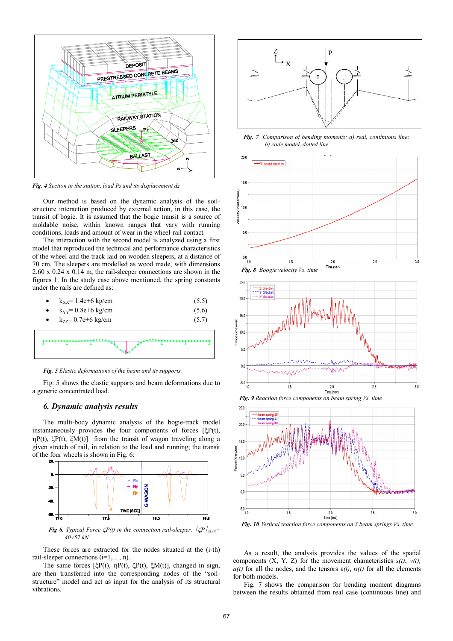

*Fig. 4 Section in the station, load PZ and its displacement dz* 

Our method is based on the dynamic analysis of the soilstructure interaction produced by external action, in this case, the transit of bogie. It is assumed that the bogie transit is a source of moldable noise, within known ranges that vary with running conditions, loads and amount of wear in the wheel-rail contact.

The interaction with the second model is analyzed using a first model that reproduced the technical and performance characteristics of the wheel and the track laid on wooden sleepers, at a distance of 70 cm. The sleepers are modelled as wood made, with dimensions 2.60 x 0.24 x 0.14 m, the rail-sleeper connections are shown in the figures 1. In the study case above mentioned, the spring constants under the rails are defined as:

| • $k_{xx} = 1.4e+6 kg/cm$           | (5.5) |
|-------------------------------------|-------|
| • $k_{yy} = 0.8e + 6 \text{ kg/cm}$ | (5.6) |
| • $k_{77} = 0.7e+6$ kg/cm           | (5.7) |



*Fig. 5 Elastic deformations of the beam and its supports.* 

Fig. 5 shows the elastic supports and beam deformations due to a generic concentrated load.

### *6. Dynamic analysis results*

The multi-body dynamic analysis of the bogie-track model instantaneously provides the four components of forces  $[\xi P(t)]$ ,  $\eta P(t)$ ,  $\zeta P(t)$ ,  $\zeta M(t)$ ] from the transit of wagon traveling along a given stretch of rail, in relation to the load and running; the transit of the four wheels is shown in Fig. 6;



*Fig 6. Typical Force*  $\mathcal{L}P(t)$  *in the connection rail-sleeper,*  $\mathcal{L}P /_{MAX} =$ *4057 kN.* 

These forces are extracted for the nodes situated at the (i-th) rail-sleeper connections  $(i=1, \ldots, n)$ .

The same forces [ $\xi P(t)$ ,  $\eta P(t)$ ,  $\zeta P(t)$ ,  $\xi M(t)$ ], changed in sign, are then transferred into the corresponding nodes of the "soilstructure" model and act as input for the analysis of its structural vibrations.



*Fig. 7 Comparison of bending moments: a) real, continuous line; b) code model, dotted line.* 







*Fig. 9 Reaction force components on beam spring Vs. time* 

*Fig. 10 Vertical* r*eaction force components on 3 beam springs Vs. time* 

As a result, the analysis provides the values of the spatial components  $(X, Y, Z)$  for the movement characteristics  $s(t)$ ,  $v(t)$ , *a(t)* for all the nodes, and the tensors  $ε(t)$ ,  $σ(t)$  for all the elements for both models.

Fig. 7 shows the comparison for bending moment diagrams between the results obtained from real case (continuous line) and